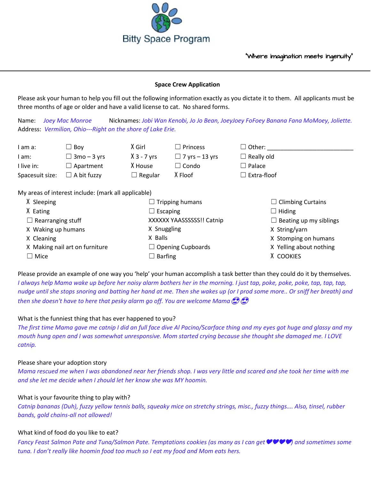

#### **Space Crew Application**

Please ask your human to help you fill out the following information exactly as you dictate it to them. All applicants must be three months of age or older and have a valid license to cat. No shared forms.

Name: *Joey Mac Monroe* Nicknames: *Jobi Wan Kenobi, Jo Jo Bean, JoeyJoey FoFoey Banana Fana MoMoey, Joliette.* Address: *Vermilion, Ohio---Right on the shore of Lake Erie.*

| I am a:                                          | $\Box$ Bov         | X Girl         | $\square$ Princess    | $\Box$ Other:      |  |  |
|--------------------------------------------------|--------------------|----------------|-----------------------|--------------------|--|--|
| I am:                                            | $\Box$ 3mo – 3 yrs | $X$ 3 - 7 yrs  | $\Box$ 7 yrs – 13 yrs | $\Box$ Really old  |  |  |
| I live in:                                       | $\Box$ Apartment   | X House        | ⊿ Condo               | $\Box$ Palace      |  |  |
| Spacesuit size:                                  | $\Box$ A bit fuzzy | $\Box$ Regular | X Floof               | $\Box$ Extra-floof |  |  |
|                                                  |                    |                |                       |                    |  |  |
| As arone of interest includes (marked anglicate) |                    |                |                       |                    |  |  |

My areas of interest include: (mark all applicable)

| X Sleeping<br>$\Box$ Tripping humans |                           | $\Box$ Climbing Curtains      |
|--------------------------------------|---------------------------|-------------------------------|
| X Eating                             | $\Box$ Escaping           | $\Box$ Hiding                 |
| $\Box$ Rearranging stuff             | XXXXXX YAASSSSSS!! Catnip | $\Box$ Beating up my siblings |
| X Waking up humans                   | X Snuggling               | X String/yarn                 |
| X Cleaning                           | X Balls                   | X Stomping on humans          |
| X Making nail art on furniture       | $\Box$ Opening Cupboards  | X Yelling about nothing       |
| $\Box$ Mice                          | $\Box$ Barfing            | X COOKIES                     |

Please provide an example of one way you 'help' your human accomplish a task better than they could do it by themselves. *I always help Mama wake up before her noisy alarm bothers her in the morning. I just tap, poke, poke, poke, tap, tap, tap, nudge until she stops snoring and batting her hand at me. Then she wakes up (or I prod some more.. Or sniff her breath) and then she doesn't have to here that pesky alarm go off. You are welcome Mama*

# What is the funniest thing that has ever happened to you?

*The first time Mama gave me catnip I did an full face dive Al Pacino/Scarface thing and my eyes got huge and glassy and my mouth hung open and I was somewhat unresponsive. Mom started crying because she thought she damaged me. I LOVE catnip.* 

# Please share your adoption story

*Mama rescued me when I was abandoned near her friends shop. I was very little and scared and she took her time with me and she let me decide when I zhould let her know she was MY hoomin.* 

# What is your favourite thing to play with?

*Catnip bananas (Duh), fuzzy yellow tennis balls, squeaky mice on stretchy strings, misc., fuzzy things…. Also, tinsel, rubber bands, gold chains-all not allowed!* 

# What kind of food do you like to eat?

*Fancy Feast Salmon Pate and Tuna/Salmon Pate. Temptations cookies (as many as I can get*❤️❤️❤️❤️*) and sometimes some tuna. I don't really like hoomin food too much so I eat my food and Mom eats hers.*